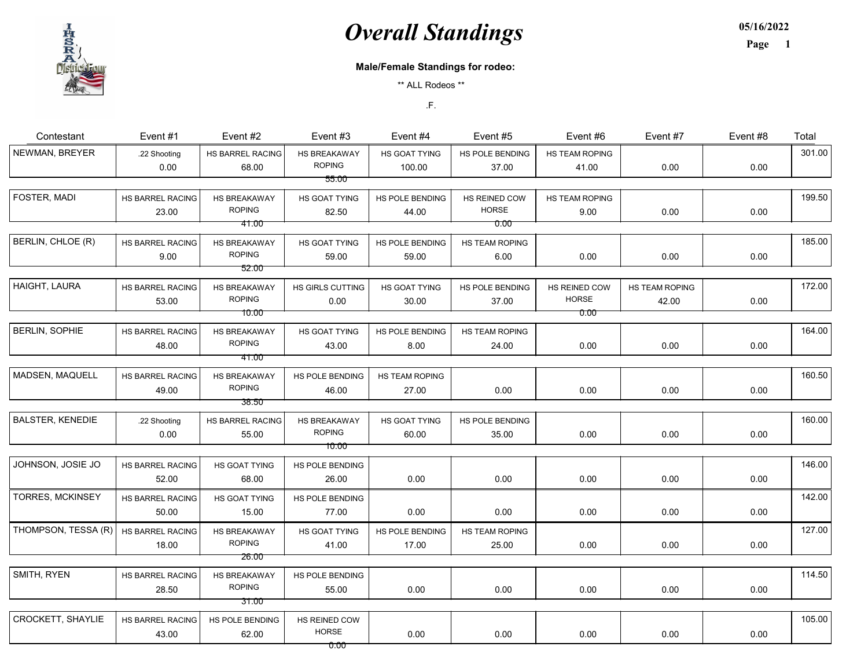

05/16/2022 Page 1

#### Male/Female Standings for rodeo:

\*\* ALL Rodeos \*\*

| Contestant               | Event #1         | Event #2         | Event #3         | Event #4        | Event #5              | Event #6       | Event #7       | Event #8 | Total  |
|--------------------------|------------------|------------------|------------------|-----------------|-----------------------|----------------|----------------|----------|--------|
| NEWMAN, BREYER           | .22 Shooting     | HS BARREL RACING | HS BREAKAWAY     | HS GOAT TYING   | HS POLE BENDING       | HS TEAM ROPING |                |          | 301.00 |
|                          | 0.00             | 68.00            | <b>ROPING</b>    | 100.00          | 37.00                 | 41.00          | 0.00           | 0.00     |        |
|                          |                  |                  | 55.00            |                 |                       |                |                |          |        |
| FOSTER, MADI             | HS BARREL RACING | HS BREAKAWAY     | HS GOAT TYING    | HS POLE BENDING | HS REINED COW         | HS TEAM ROPING |                |          | 199.50 |
|                          | 23.00            | <b>ROPING</b>    | 82.50            | 44.00           | <b>HORSE</b>          | 9.00           | 0.00           | 0.00     |        |
|                          |                  | 41.00            |                  |                 | 0.00                  |                |                |          |        |
| BERLIN, CHLOE (R)        | HS BARREL RACING | HS BREAKAWAY     | HS GOAT TYING    | HS POLE BENDING | <b>HS TEAM ROPING</b> |                |                |          | 185.00 |
|                          | 9.00             | <b>ROPING</b>    | 59.00            | 59.00           | 6.00                  | 0.00           | 0.00           | 0.00     |        |
|                          |                  | 52.00            |                  |                 |                       |                |                |          |        |
| HAIGHT, LAURA            | HS BARREL RACING | HS BREAKAWAY     | HS GIRLS CUTTING | HS GOAT TYING   | HS POLE BENDING       | HS REINED COW  | HS TEAM ROPING |          | 172.00 |
|                          | 53.00            | <b>ROPING</b>    | 0.00             | 30.00           | 37.00                 | <b>HORSE</b>   | 42.00          | 0.00     |        |
|                          |                  | 10.00            |                  |                 |                       | 0.00           |                |          |        |
| <b>BERLIN, SOPHIE</b>    | HS BARREL RACING | HS BREAKAWAY     | HS GOAT TYING    | HS POLE BENDING | HS TEAM ROPING        |                |                |          | 164.00 |
|                          | 48.00            | <b>ROPING</b>    | 43.00            | 8.00            | 24.00                 | 0.00           | 0.00           | 0.00     |        |
|                          |                  | 41.00            |                  |                 |                       |                |                |          |        |
| MADSEN, MAQUELL          | HS BARREL RACING | HS BREAKAWAY     | HS POLE BENDING  | HS TEAM ROPING  |                       |                |                |          | 160.50 |
|                          | 49.00            | <b>ROPING</b>    | 46.00            | 27.00           | 0.00                  | 0.00           | 0.00           | 0.00     |        |
|                          |                  | 38.50            |                  |                 |                       |                |                |          |        |
| <b>BALSTER, KENEDIE</b>  | .22 Shooting     | HS BARREL RACING | HS BREAKAWAY     | HS GOAT TYING   | HS POLE BENDING       |                |                |          | 160.00 |
|                          | 0.00             | 55.00            | <b>ROPING</b>    | 60.00           | 35.00                 | 0.00           | 0.00           | 0.00     |        |
|                          |                  |                  | 10.00            |                 |                       |                |                |          |        |
| JOHNSON, JOSIE JO        | HS BARREL RACING | HS GOAT TYING    | HS POLE BENDING  |                 |                       |                |                |          | 146.00 |
|                          | 52.00            | 68.00            | 26.00            | 0.00            | 0.00                  | 0.00           | 0.00           | 0.00     |        |
| <b>TORRES, MCKINSEY</b>  | HS BARREL RACING | HS GOAT TYING    | HS POLE BENDING  |                 |                       |                |                |          | 142.00 |
|                          | 50.00            | 15.00            | 77.00            | 0.00            | 0.00                  | 0.00           | 0.00           | 0.00     |        |
| THOMPSON, TESSA (R)      | HS BARREL RACING | HS BREAKAWAY     | HS GOAT TYING    | HS POLE BENDING | HS TEAM ROPING        |                |                |          | 127.00 |
|                          | 18.00            | <b>ROPING</b>    | 41.00            | 17.00           | 25.00                 | 0.00           | 0.00           | 0.00     |        |
|                          |                  | 26.00            |                  |                 |                       |                |                |          |        |
| SMITH, RYEN              | HS BARREL RACING | HS BREAKAWAY     | HS POLE BENDING  |                 |                       |                |                |          | 114.50 |
|                          | 28.50            | <b>ROPING</b>    | 55.00            | 0.00            | 0.00                  | 0.00           | 0.00           | 0.00     |        |
|                          |                  | 31.00            |                  |                 |                       |                |                |          |        |
| <b>CROCKETT, SHAYLIE</b> | HS BARREL RACING | HS POLE BENDING  | HS REINED COW    |                 |                       |                |                |          | 105.00 |
|                          | 43.00            | 62.00            | <b>HORSE</b>     | 0.00            | 0.00                  | 0.00           | 0.00           | 0.00     |        |
|                          |                  |                  | 0.00             |                 |                       |                |                |          |        |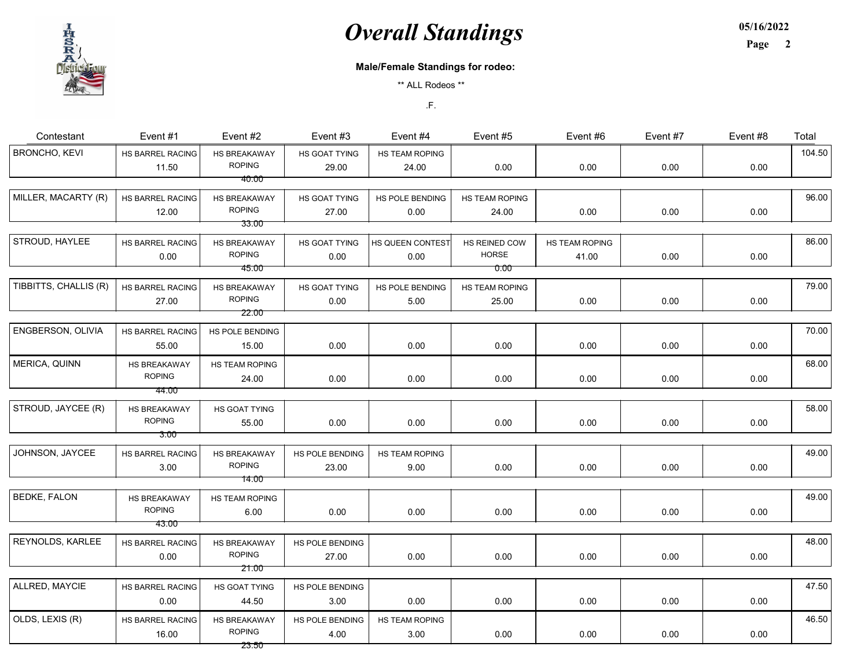05/16/2022

Page 2

#### Male/Female Standings for rodeo:

\*\* ALL Rodeos \*\*

| Contestant            | Event #1                               | Event #2                                      | Event #3                 | Event #4                 | Event #5                      | Event #6                | Event #7 | Event #8 | Total  |
|-----------------------|----------------------------------------|-----------------------------------------------|--------------------------|--------------------------|-------------------------------|-------------------------|----------|----------|--------|
| <b>BRONCHO, KEVI</b>  | HS BARREL RACING<br>11.50              | <b>HS BREAKAWAY</b><br><b>ROPING</b>          | HS GOAT TYING<br>29.00   | HS TEAM ROPING<br>24.00  | 0.00                          | 0.00                    | 0.00     | 0.00     | 104.50 |
|                       |                                        | 40.00                                         |                          |                          |                               |                         |          |          |        |
| MILLER, MACARTY (R)   | HS BARREL RACING<br>12.00              | HS BREAKAWAY<br><b>ROPING</b>                 | HS GOAT TYING<br>27.00   | HS POLE BENDING<br>0.00  | HS TEAM ROPING<br>24.00       | 0.00                    | 0.00     | 0.00     | 96.00  |
|                       |                                        | 33.00                                         |                          |                          |                               |                         |          |          |        |
| STROUD, HAYLEE        | HS BARREL RACING<br>0.00               | HS BREAKAWAY<br><b>ROPING</b>                 | HS GOAT TYING<br>0.00    | HS QUEEN CONTEST<br>0.00 | HS REINED COW<br><b>HORSE</b> | HS TEAM ROPING<br>41.00 | 0.00     | 0.00     | 86.00  |
|                       |                                        | 45.00                                         |                          |                          | 0.00                          |                         |          |          |        |
| TIBBITTS, CHALLIS (R) | HS BARREL RACING<br>27.00              | HS BREAKAWAY<br><b>ROPING</b>                 | HS GOAT TYING<br>0.00    | HS POLE BENDING<br>5.00  | HS TEAM ROPING<br>25.00       | 0.00                    | 0.00     | 0.00     | 79.00  |
|                       |                                        | 22.00                                         |                          |                          |                               |                         |          |          |        |
| ENGBERSON, OLIVIA     | HS BARREL RACING<br>55.00              | HS POLE BENDING<br>15.00                      | 0.00                     | 0.00                     | 0.00                          | 0.00                    | 0.00     | 0.00     | 70.00  |
| MERICA, QUINN         | HS BREAKAWAY<br><b>ROPING</b>          | HS TEAM ROPING<br>24.00                       | 0.00                     | 0.00                     | 0.00                          | 0.00                    | 0.00     | 0.00     | 68.00  |
|                       | 44.00                                  |                                               |                          |                          |                               |                         |          |          |        |
| STROUD, JAYCEE (R)    | HS BREAKAWAY<br><b>ROPING</b>          | HS GOAT TYING<br>55.00                        | 0.00                     | 0.00                     | 0.00                          | 0.00                    | 0.00     | 0.00     | 58.00  |
|                       | 3.00                                   |                                               |                          |                          |                               |                         |          |          |        |
| JOHNSON, JAYCEE       | HS BARREL RACING<br>3.00               | <b>HS BREAKAWAY</b><br><b>ROPING</b><br>14.00 | HS POLE BENDING<br>23.00 | HS TEAM ROPING<br>9.00   | 0.00                          | 0.00                    | 0.00     | 0.00     | 49.00  |
|                       |                                        |                                               |                          |                          |                               |                         |          |          |        |
| <b>BEDKE, FALON</b>   | HS BREAKAWAY<br><b>ROPING</b><br>43.00 | HS TEAM ROPING<br>6.00                        | 0.00                     | 0.00                     | 0.00                          | 0.00                    | 0.00     | 0.00     | 49.00  |
|                       |                                        |                                               |                          |                          |                               |                         |          |          |        |
| REYNOLDS, KARLEE      | HS BARREL RACING<br>0.00               | HS BREAKAWAY<br><b>ROPING</b>                 | HS POLE BENDING<br>27.00 | 0.00                     | 0.00                          | 0.00                    | 0.00     | 0.00     | 48.00  |
|                       |                                        | 21.00                                         |                          |                          |                               |                         |          |          |        |
| ALLRED, MAYCIE        | HS BARREL RACING<br>0.00               | HS GOAT TYING<br>44.50                        | HS POLE BENDING<br>3.00  | 0.00                     | 0.00                          | 0.00                    | 0.00     | 0.00     | 47.50  |
| OLDS, LEXIS (R)       | HS BARREL RACING<br>16.00              | HS BREAKAWAY<br><b>ROPING</b>                 | HS POLE BENDING<br>4.00  | HS TEAM ROPING<br>3.00   | 0.00                          | 0.00                    | 0.00     | 0.00     | 46.50  |
|                       |                                        | 23.50                                         |                          |                          |                               |                         |          |          |        |

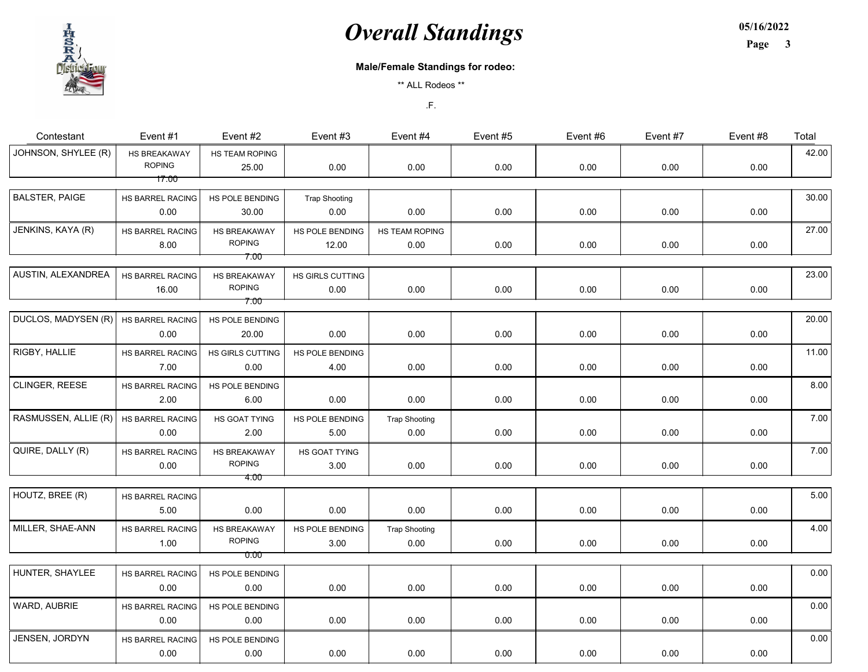05/16/2022

Page 3

#### Male/Female Standings for rodeo:

\*\* ALL Rodeos \*\*

| Contestant            | Event #1                      | Event #2                                     | Event #3                     | Event #4                     | Event #5 | Event #6 | Event #7 | Event #8 | Total |
|-----------------------|-------------------------------|----------------------------------------------|------------------------------|------------------------------|----------|----------|----------|----------|-------|
| JOHNSON, SHYLEE (R)   | HS BREAKAWAY<br><b>ROPING</b> | HS TEAM ROPING<br>25.00                      | 0.00                         | 0.00                         | 0.00     | 0.00     | 0.00     | 0.00     | 42.00 |
|                       | 17.00                         |                                              |                              |                              |          |          |          |          |       |
| <b>BALSTER, PAIGE</b> | HS BARREL RACING<br>0.00      | HS POLE BENDING<br>30.00                     | <b>Trap Shooting</b><br>0.00 | 0.00                         | 0.00     | 0.00     | 0.00     | 0.00     | 30.00 |
| JENKINS, KAYA (R)     | HS BARREL RACING<br>8.00      | <b>HS BREAKAWAY</b><br><b>ROPING</b><br>7.00 | HS POLE BENDING<br>12.00     | HS TEAM ROPING<br>0.00       | 0.00     | 0.00     | 0.00     | 0.00     | 27.00 |
| AUSTIN, ALEXANDREA    | HS BARREL RACING<br>16.00     | HS BREAKAWAY<br><b>ROPING</b><br>7.00        | HS GIRLS CUTTING<br>0.00     | 0.00                         | 0.00     | 0.00     | 0.00     | 0.00     | 23.00 |
| DUCLOS, MADYSEN (R)   | HS BARREL RACING<br>0.00      | HS POLE BENDING<br>20.00                     | 0.00                         | 0.00                         | 0.00     | 0.00     | 0.00     | 0.00     | 20.00 |
| RIGBY, HALLIE         | HS BARREL RACING<br>7.00      | HS GIRLS CUTTING<br>0.00                     | HS POLE BENDING<br>4.00      | 0.00                         | 0.00     | 0.00     | 0.00     | 0.00     | 11.00 |
| CLINGER, REESE        | HS BARREL RACING<br>2.00      | HS POLE BENDING<br>6.00                      | 0.00                         | 0.00                         | 0.00     | 0.00     | 0.00     | 0.00     | 8.00  |
| RASMUSSEN, ALLIE (R)  | HS BARREL RACING<br>0.00      | HS GOAT TYING<br>2.00                        | HS POLE BENDING<br>5.00      | <b>Trap Shooting</b><br>0.00 | 0.00     | 0.00     | 0.00     | 0.00     | 7.00  |
| QUIRE, DALLY (R)      | HS BARREL RACING<br>$0.00\,$  | HS BREAKAWAY<br><b>ROPING</b>                | HS GOAT TYING<br>3.00        | 0.00                         | 0.00     | 0.00     | 0.00     | 0.00     | 7.00  |
|                       |                               | 4.00                                         |                              |                              |          |          |          |          |       |
| HOUTZ, BREE (R)       | HS BARREL RACING<br>5.00      | 0.00                                         | 0.00                         | 0.00                         | 0.00     | 0.00     | 0.00     | 0.00     | 5.00  |
| MILLER, SHAE-ANN      | HS BARREL RACING<br>1.00      | HS BREAKAWAY<br><b>ROPING</b><br>0.00        | HS POLE BENDING<br>3.00      | <b>Trap Shooting</b><br>0.00 | 0.00     | 0.00     | 0.00     | 0.00     | 4.00  |
|                       |                               |                                              |                              |                              |          |          |          |          |       |
| HUNTER, SHAYLEE       | HS BARREL RACING<br>0.00      | HS POLE BENDING<br>0.00                      | 0.00                         | 0.00                         | 0.00     | 0.00     | 0.00     | 0.00     | 0.00  |
| WARD, AUBRIE          | HS BARREL RACING<br>0.00      | HS POLE BENDING<br>0.00                      | 0.00                         | 0.00                         | 0.00     | 0.00     | 0.00     | 0.00     | 0.00  |
| JENSEN, JORDYN        | HS BARREL RACING<br>0.00      | HS POLE BENDING<br>0.00                      | 0.00                         | 0.00                         | 0.00     | 0.00     | 0.00     | 0.00     | 0.00  |